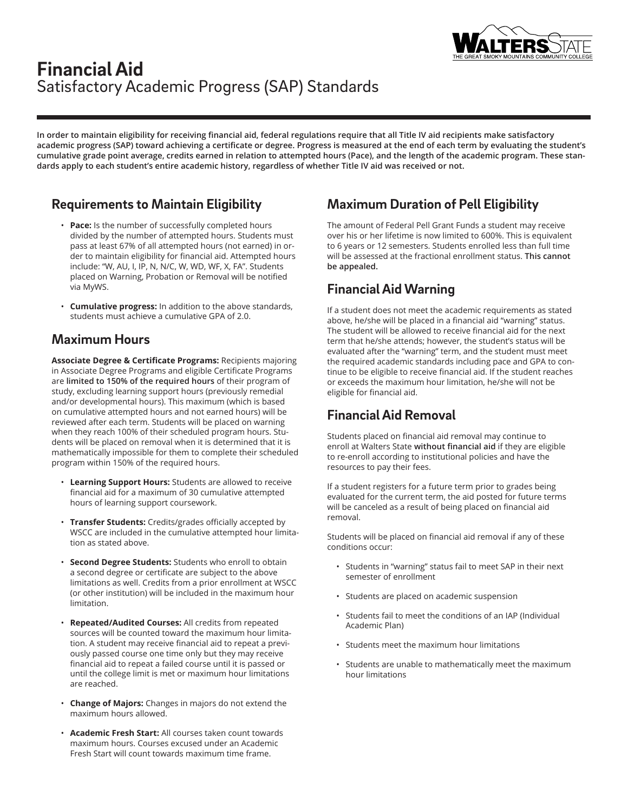

# **Financial Aid** Satisfactory Academic Progress (SAP) Standards

**In order to maintain eligibility for receiving financial aid, federal regulations require that all Title IV aid recipients make satisfactory academic progress (SAP) toward achieving a certificate or degree. Progress is measured at the end of each term by evaluating the student's cumulative grade point average, credits earned in relation to attempted hours (Pace), and the length of the academic program. These standards apply to each student's entire academic history, regardless of whether Title IV aid was received or not.**

### **Requirements to Maintain Eligibility**

- Pace: Is the number of successfully completed hours divided by the number of attempted hours. Students must pass at least 67% of all attempted hours (not earned) in order to maintain eligibility for financial aid. Attempted hours include: "W, AU, I, IP, N, N/C, W, WD, WF, X, FA". Students placed on Warning, Probation or Removal will be notified via MyWS.
- **Cumulative progress:** In addition to the above standards, students must achieve a cumulative GPA of 2.0.

#### **Maximum Hours**

**Associate Degree & Certificate Programs:** Recipients majoring in Associate Degree Programs and eligible Certificate Programs are **limited to 150% of the required hours** of their program of study, excluding learning support hours (previously remedial and/or developmental hours). This maximum (which is based on cumulative attempted hours and not earned hours) will be reviewed after each term. Students will be placed on warning when they reach 100% of their scheduled program hours. Students will be placed on removal when it is determined that it is mathematically impossible for them to complete their scheduled program within 150% of the required hours.

- **Learning Support Hours:** Students are allowed to receive financial aid for a maximum of 30 cumulative attempted hours of learning support coursework.
- **Transfer Students:** Credits/grades officially accepted by WSCC are included in the cumulative attempted hour limitation as stated above.
- **Second Degree Students:** Students who enroll to obtain a second degree or certificate are subject to the above limitations as well. Credits from a prior enrollment at WSCC (or other institution) will be included in the maximum hour limitation.
- **Repeated/Audited Courses:** All credits from repeated sources will be counted toward the maximum hour limitation. A student may receive financial aid to repeat a previously passed course one time only but they may receive financial aid to repeat a failed course until it is passed or until the college limit is met or maximum hour limitations are reached.
- **Change of Majors:** Changes in majors do not extend the maximum hours allowed.
- **Academic Fresh Start:** All courses taken count towards maximum hours. Courses excused under an Academic Fresh Start will count towards maximum time frame.

### **Maximum Duration of Pell Eligibility**

The amount of Federal Pell Grant Funds a student may receive over his or her lifetime is now limited to 600%. This is equivalent to 6 years or 12 semesters. Students enrolled less than full time will be assessed at the fractional enrollment status. **This cannot be appealed.**

### **Financial Aid Warning**

If a student does not meet the academic requirements as stated above, he/she will be placed in a financial aid "warning" status. The student will be allowed to receive financial aid for the next term that he/she attends; however, the student's status will be evaluated after the "warning" term, and the student must meet the required academic standards including pace and GPA to continue to be eligible to receive financial aid. If the student reaches or exceeds the maximum hour limitation, he/she will not be eligible for financial aid.

## **Financial Aid Removal**

Students placed on financial aid removal may continue to enroll at Walters State **without financial aid** if they are eligible to re-enroll according to institutional policies and have the resources to pay their fees.

If a student registers for a future term prior to grades being evaluated for the current term, the aid posted for future terms will be canceled as a result of being placed on financial aid removal.

Students will be placed on financial aid removal if any of these conditions occur:

- Students in "warning" status fail to meet SAP in their next semester of enrollment
- Students are placed on academic suspension
- Students fail to meet the conditions of an IAP (Individual Academic Plan)
- Students meet the maximum hour limitations
- Students are unable to mathematically meet the maximum hour limitations